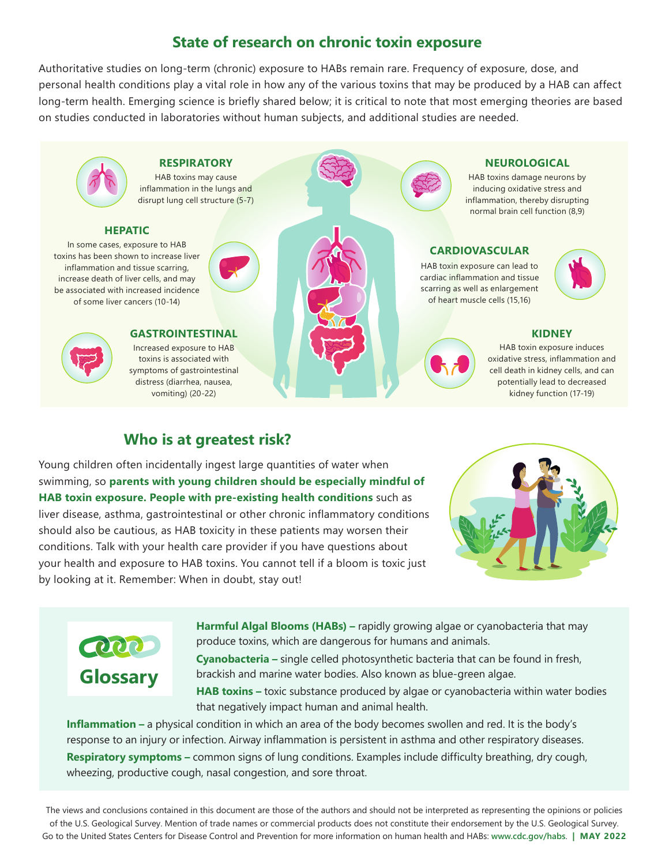## **State of research on chronic toxin exposure**

Authoritative studies on long-term (chronic) exposure to HABs remain rare. Frequency of exposure, dose, and personal health conditions play a vital role in how any of the various toxins that may be produced by a HAB can affect long-term health. Emerging science is briefly shared below; it is critical to note that most emerging theories are based on studies conducted in laboratories without human subjects, and additional studies are needed.



## **Who is at greatest risk?**

Young children often incidentally ingest large quantities of water when swimming, so **parents with young children should be especially mindful of HAB toxin exposure. People with pre-existing health conditions** such as liver disease, asthma, gastrointestinal or other chronic inflammatory conditions should also be cautious, as HAB toxicity in these patients may worsen their conditions. Talk with your health care provider if you have questions about your health and exposure to HAB toxins. You cannot tell if a bloom is toxic just by looking at it. Remember: When in doubt, stay out!





**Harmful Algal Blooms (HABs) –** rapidly growing algae or cyanobacteria that may produce toxins, which are dangerous for humans and animals.

**Cyanobacteria –** single celled photosynthetic bacteria that can be found in fresh, brackish and marine water bodies. Also known as blue-green algae.

**HAB toxins –** toxic substance produced by algae or cyanobacteria within water bodies that negatively impact human and animal health.

**Inflammation –** a physical condition in which an area of the body becomes swollen and red. It is the body's response to an injury or infection. Airway inflammation is persistent in asthma and other respiratory diseases. **Respiratory symptoms –** common signs of lung conditions. Examples include difficulty breathing, dry cough, wheezing, productive cough, nasal congestion, and sore throat.

The views and conclusions contained in this document are those of the authors and should not be interpreted as representing the opinions or policies of the U.S. Geological Survey. Mention of trade names or commercial products does not constitute their endorsement by the U.S. Geological Survey. Go to the United States Centers for Disease Control and Prevention for more information on human health and HABs: **www.cdc.gov/habs**. **| MAY 2022**